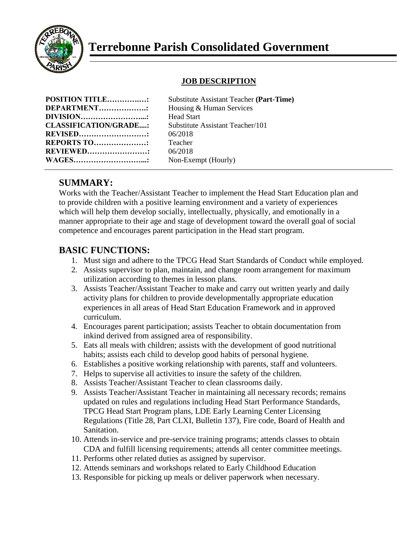

## **JOB DESCRIPTION**

| <b>POSITION TITLE:</b>       | Substitu |
|------------------------------|----------|
| DEPARTMENT                   | Housing  |
|                              | Head St  |
| <b>CLASSIFICATION/GRADE:</b> | Substitu |
| <b>REVISED</b>               | 06/2018  |
| <b>REPORTS TO:</b>           | Teacher  |
| <b>REVIEWED:</b>             | 06/2018  |
| <b>WAGES</b>                 | $Non-Ex$ |

**Positute Assistant Teacher (Part-Time) DEPARTMENT……………….:** Housing & Human Services ead Start **COLASSISTANT** Teacher/101 **REPORTS TO…………………:** Teacher **REVIEWED……………………:** 06/2018 on-Exempt (Hourly)

## **SUMMARY:**

Works with the Teacher/Assistant Teacher to implement the Head Start Education plan and to provide children with a positive learning environment and a variety of experiences which will help them develop socially, intellectually, physically, and emotionally in a manner appropriate to their age and stage of development toward the overall goal of social competence and encourages parent participation in the Head start program.

## **BASIC FUNCTIONS:**

- 1. Must sign and adhere to the TPCG Head Start Standards of Conduct while employed.
- 2. Assists supervisor to plan, maintain, and change room arrangement for maximum utilization according to themes in lesson plans.
- 3. Assists Teacher/Assistant Teacher to make and carry out written yearly and daily activity plans for children to provide developmentally appropriate education experiences in all areas of Head Start Education Framework and in approved curriculum.
- 4. Encourages parent participation; assists Teacher to obtain documentation from inkind derived from assigned area of responsibility.
- 5. Eats all meals with children; assists with the development of good nutritional habits; assists each child to develop good habits of personal hygiene.
- 6. Establishes a positive working relationship with parents, staff and volunteers.
- 7. Helps to supervise all activities to insure the safety of the children.
- 8. Assists Teacher/Assistant Teacher to clean classrooms daily.
- 9. Assists Teacher/Assistant Teacher in maintaining all necessary records; remains updated on rules and regulations including Head Start Performance Standards, TPCG Head Start Program plans, LDE Early Learning Center Licensing Regulations (Title 28, Part CLXI, Bulletin 137), Fire code, Board of Health and Sanitation.
- 10. Attends in-service and pre-service training programs; attends classes to obtain CDA and fulfill licensing requirements; attends all center committee meetings.
- 11. Performs other related duties as assigned by supervisor.
- 12. Attends seminars and workshops related to Early Childhood Education
- 13. Responsible for picking up meals or deliver paperwork when necessary.